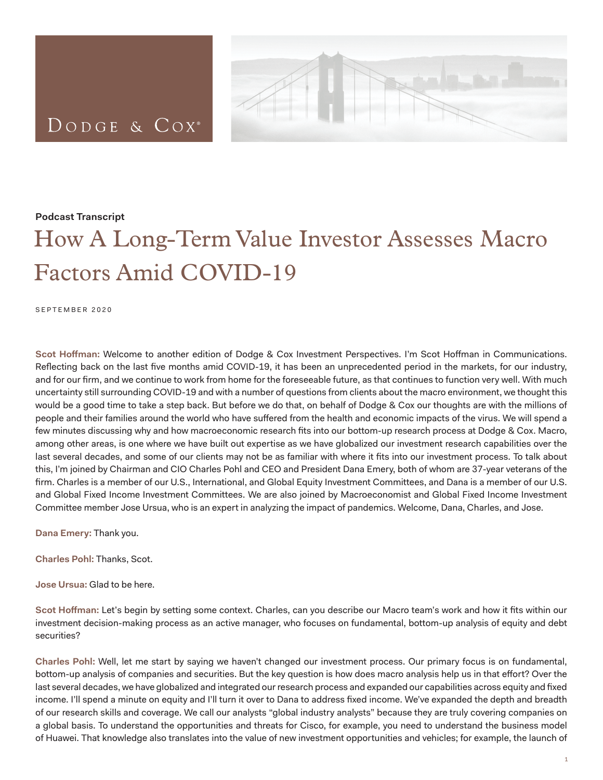## DODGE & COX<sup>®</sup>



## **Podcast Transcript**

## How A Long-Term Value Investor Assesses Macro Factors Amid COVID-19

SEPTEMBER 2020

**Scot Hoffman:** Welcome to another edition of Dodge & Cox Investment Perspectives. I'm Scot Hoffman in Communications. Reflecting back on the last five months amid COVID-19, it has been an unprecedented period in the markets, for our industry, and for our firm, and we continue to work from home for the foreseeable future, as that continues to function very well. With much uncertainty still surrounding COVID-19 and with a number of questions from clients about the macro environment, we thought this would be a good time to take a step back. But before we do that, on behalf of Dodge & Cox our thoughts are with the millions of people and their families around the world who have suffered from the health and economic impacts of the virus. We will spend a few minutes discussing why and how macroeconomic research fits into our bottom-up research process at Dodge & Cox. Macro, among other areas, is one where we have built out expertise as we have globalized our investment research capabilities over the last several decades, and some of our clients may not be as familiar with where it fits into our investment process. To talk about this, I'm joined by Chairman and CIO Charles Pohl and CEO and President Dana Emery, both of whom are 37-year veterans of the firm. Charles is a member of our U.S., International, and Global Equity Investment Committees, and Dana is a member of our U.S. and Global Fixed Income Investment Committees. We are also joined by Macroeconomist and Global Fixed Income Investment Committee member Jose Ursua, who is an expert in analyzing the impact of pandemics. Welcome, Dana, Charles, and Jose.

**Dana Emery:** Thank you.

**Charles Pohl:** Thanks, Scot.

**Jose Ursua:** Glad to be here.

**Scot Hoffman:** Let's begin by setting some context. Charles, can you describe our Macro team's work and how it fits within our investment decision-making process as an active manager, who focuses on fundamental, bottom-up analysis of equity and debt securities?

**Charles Pohl:** Well, let me start by saying we haven't changed our investment process. Our primary focus is on fundamental, bottom-up analysis of companies and securities. But the key question is how does macro analysis help us in that effort? Over the last several decades, we have globalized and integrated our research process and expanded our capabilities across equity and fixed income. I'll spend a minute on equity and I'll turn it over to Dana to address fixed income. We've expanded the depth and breadth of our research skills and coverage. We call our analysts "global industry analysts" because they are truly covering companies on a global basis. To understand the opportunities and threats for Cisco, for example, you need to understand the business model of Huawei. That knowledge also translates into the value of new investment opportunities and vehicles; for example, the launch of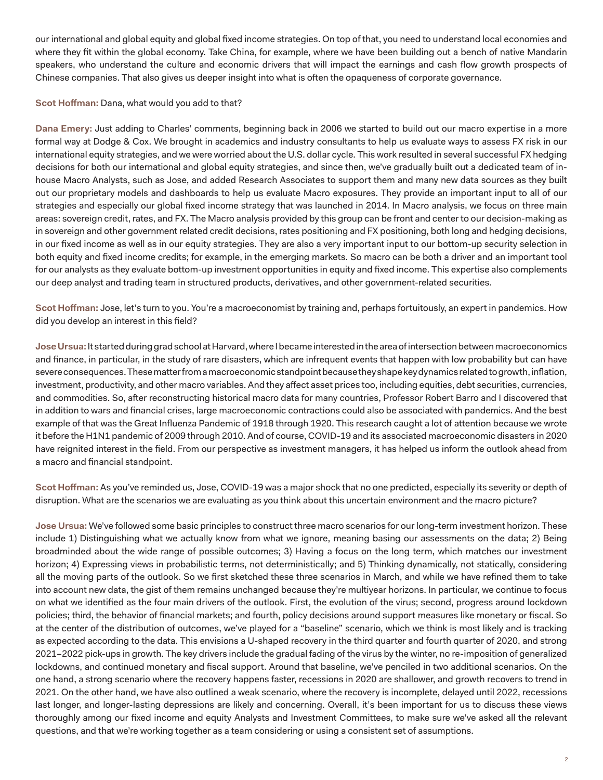our international and global equity and global fixed income strategies. On top of that, you need to understand local economies and where they fit within the global economy. Take China, for example, where we have been building out a bench of native Mandarin speakers, who understand the culture and economic drivers that will impact the earnings and cash flow growth prospects of Chinese companies. That also gives us deeper insight into what is often the opaqueness of corporate governance.

## **Scot Hoffman:** Dana, what would you add to that?

**Dana Emery:** Just adding to Charles' comments, beginning back in 2006 we started to build out our macro expertise in a more formal way at Dodge & Cox. We brought in academics and industry consultants to help us evaluate ways to assess FX risk in our international equity strategies, and we were worried about the U.S. dollar cycle. This work resulted in several successful FX hedging decisions for both our international and global equity strategies, and since then, we've gradually built out a dedicated team of inhouse Macro Analysts, such as Jose, and added Research Associates to support them and many new data sources as they built out our proprietary models and dashboards to help us evaluate Macro exposures. They provide an important input to all of our strategies and especially our global fixed income strategy that was launched in 2014. In Macro analysis, we focus on three main areas: sovereign credit, rates, and FX. The Macro analysis provided by this group can be front and center to our decision-making as in sovereign and other government related credit decisions, rates positioning and FX positioning, both long and hedging decisions, in our fixed income as well as in our equity strategies. They are also a very important input to our bottom-up security selection in both equity and fixed income credits; for example, in the emerging markets. So macro can be both a driver and an important tool for our analysts as they evaluate bottom-up investment opportunities in equity and fixed income. This expertise also complements our deep analyst and trading team in structured products, derivatives, and other government-related securities.

**Scot Hoffman:** Jose, let's turn to you. You're a macroeconomist by training and, perhaps fortuitously, an expert in pandemics. How did you develop an interest in this field?

**Jose Ursua:** It started during grad school at Harvard, where I became interested in the area of intersection between macroeconomics and finance, in particular, in the study of rare disasters, which are infrequent events that happen with low probability but can have severe consequences. These matter from a macroeconomic standpoint because they shape key dynamics related to growth, inflation, investment, productivity, and other macro variables. And they affect asset prices too, including equities, debt securities, currencies, and commodities. So, after reconstructing historical macro data for many countries, Professor Robert Barro and I discovered that in addition to wars and financial crises, large macroeconomic contractions could also be associated with pandemics. And the best example of that was the Great Influenza Pandemic of 1918 through 1920. This research caught a lot of attention because we wrote it before the H1N1 pandemic of 2009 through 2010. And of course, COVID-19 and its associated macroeconomic disasters in 2020 have reignited interest in the field. From our perspective as investment managers, it has helped us inform the outlook ahead from a macro and financial standpoint.

**Scot Hoffman:** As you've reminded us, Jose, COVID-19 was a major shock that no one predicted, especially its severity or depth of disruption. What are the scenarios we are evaluating as you think about this uncertain environment and the macro picture?

**Jose Ursua:** We've followed some basic principles to construct three macro scenarios for our long-term investment horizon. These include 1) Distinguishing what we actually know from what we ignore, meaning basing our assessments on the data; 2) Being broadminded about the wide range of possible outcomes; 3) Having a focus on the long term, which matches our investment horizon; 4) Expressing views in probabilistic terms, not deterministically; and 5) Thinking dynamically, not statically, considering all the moving parts of the outlook. So we first sketched these three scenarios in March, and while we have refined them to take into account new data, the gist of them remains unchanged because they're multiyear horizons. In particular, we continue to focus on what we identified as the four main drivers of the outlook. First, the evolution of the virus; second, progress around lockdown policies; third, the behavior of financial markets; and fourth, policy decisions around support measures like monetary or fiscal. So at the center of the distribution of outcomes, we've played for a "baseline" scenario, which we think is most likely and is tracking as expected according to the data. This envisions a U-shaped recovery in the third quarter and fourth quarter of 2020, and strong 2021–2022 pick-ups in growth. The key drivers include the gradual fading of the virus by the winter, no re-imposition of generalized lockdowns, and continued monetary and fiscal support. Around that baseline, we've penciled in two additional scenarios. On the one hand, a strong scenario where the recovery happens faster, recessions in 2020 are shallower, and growth recovers to trend in 2021. On the other hand, we have also outlined a weak scenario, where the recovery is incomplete, delayed until 2022, recessions last longer, and longer-lasting depressions are likely and concerning. Overall, it's been important for us to discuss these views thoroughly among our fixed income and equity Analysts and Investment Committees, to make sure we've asked all the relevant questions, and that we're working together as a team considering or using a consistent set of assumptions.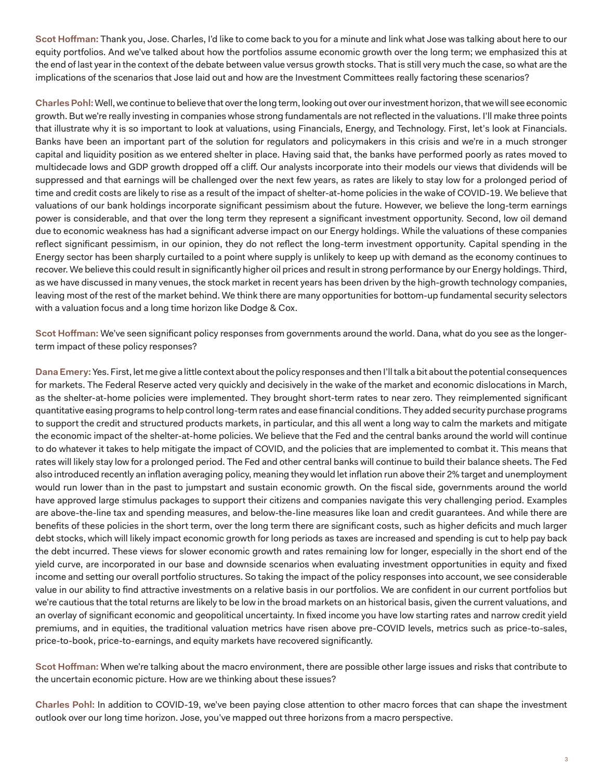**Scot Hoffman:** Thank you, Jose. Charles, I'd like to come back to you for a minute and link what Jose was talking about here to our equity portfolios. And we've talked about how the portfolios assume economic growth over the long term; we emphasized this at the end of last year in the context of the debate between value versus growth stocks. That is still very much the case, so what are the implications of the scenarios that Jose laid out and how are the Investment Committees really factoring these scenarios?

**Charles Pohl:** Well, we continue to believe that over the long term, looking out over our investment horizon, that we will see economic growth. But we're really investing in companies whose strong fundamentals are not reflected in the valuations. I'll make three points that illustrate why it is so important to look at valuations, using Financials, Energy, and Technology. First, let's look at Financials. Banks have been an important part of the solution for regulators and policymakers in this crisis and we're in a much stronger capital and liquidity position as we entered shelter in place. Having said that, the banks have performed poorly as rates moved to multidecade lows and GDP growth dropped off a cliff. Our analysts incorporate into their models our views that dividends will be suppressed and that earnings will be challenged over the next few years, as rates are likely to stay low for a prolonged period of time and credit costs are likely to rise as a result of the impact of shelter-at-home policies in the wake of COVID-19. We believe that valuations of our bank holdings incorporate significant pessimism about the future. However, we believe the long-term earnings power is considerable, and that over the long term they represent a significant investment opportunity. Second, low oil demand due to economic weakness has had a significant adverse impact on our Energy holdings. While the valuations of these companies reflect significant pessimism, in our opinion, they do not reflect the long-term investment opportunity. Capital spending in the Energy sector has been sharply curtailed to a point where supply is unlikely to keep up with demand as the economy continues to recover. We believe this could result in significantly higher oil prices and result in strong performance by our Energy holdings. Third, as we have discussed in many venues, the stock market in recent years has been driven by the high-growth technology companies, leaving most of the rest of the market behind. We think there are many opportunities for bottom-up fundamental security selectors with a valuation focus and a long time horizon like Dodge & Cox.

**Scot Hoffman:** We've seen significant policy responses from governments around the world. Dana, what do you see as the longerterm impact of these policy responses?

**Dana Emery:** Yes. First, let me give a little context about the policy responses and then I'll talk a bit about the potential consequences for markets. The Federal Reserve acted very quickly and decisively in the wake of the market and economic dislocations in March, as the shelter-at-home policies were implemented. They brought short-term rates to near zero. They reimplemented significant quantitative easing programs to help control long-term rates and ease financial conditions. They added security purchase programs to support the credit and structured products markets, in particular, and this all went a long way to calm the markets and mitigate the economic impact of the shelter-at-home policies. We believe that the Fed and the central banks around the world will continue to do whatever it takes to help mitigate the impact of COVID, and the policies that are implemented to combat it. This means that rates will likely stay low for a prolonged period. The Fed and other central banks will continue to build their balance sheets. The Fed also introduced recently an inflation averaging policy, meaning they would let inflation run above their 2% target and unemployment would run lower than in the past to jumpstart and sustain economic growth. On the fiscal side, governments around the world have approved large stimulus packages to support their citizens and companies navigate this very challenging period. Examples are above-the-line tax and spending measures, and below-the-line measures like loan and credit guarantees. And while there are benefits of these policies in the short term, over the long term there are significant costs, such as higher deficits and much larger debt stocks, which will likely impact economic growth for long periods as taxes are increased and spending is cut to help pay back the debt incurred. These views for slower economic growth and rates remaining low for longer, especially in the short end of the yield curve, are incorporated in our base and downside scenarios when evaluating investment opportunities in equity and fixed income and setting our overall portfolio structures. So taking the impact of the policy responses into account, we see considerable value in our ability to find attractive investments on a relative basis in our portfolios. We are confident in our current portfolios but we're cautious that the total returns are likely to be low in the broad markets on an historical basis, given the current valuations, and an overlay of significant economic and geopolitical uncertainty. In fixed income you have low starting rates and narrow credit yield premiums, and in equities, the traditional valuation metrics have risen above pre-COVID levels, metrics such as price-to-sales, price-to-book, price-to-earnings, and equity markets have recovered significantly.

**Scot Hoffman:** When we're talking about the macro environment, there are possible other large issues and risks that contribute to the uncertain economic picture. How are we thinking about these issues?

**Charles Pohl:** In addition to COVID-19, we've been paying close attention to other macro forces that can shape the investment outlook over our long time horizon. Jose, you've mapped out three horizons from a macro perspective.